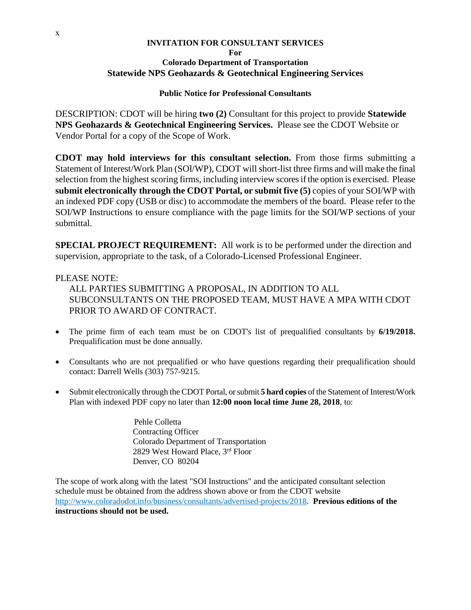#### **INVITATION FOR CONSULTANT SERVICES For Colorado Department of Transportation Statewide NPS Geohazards & Geotechnical Engineering Services**

# **Public Notice for Professional Consultants**

DESCRIPTION: CDOT will be hiring **two (2)** Consultant for this project to provide **Statewide NPS Geohazards & Geotechnical Engineering Services.** Please see the CDOT Website or Vendor Portal for a copy of the Scope of Work.

**CDOT may hold interviews for this consultant selection.** From those firms submitting a Statement of Interest/Work Plan (SOI/WP), CDOT will short-list three firms and will make the final selection from the highest scoring firms, including interview scoresif the option is exercised. Please **submit electronically through the CDOT Portal, or submit five (5)** copies of your SOI/WP with an indexed PDF copy (USB or disc) to accommodate the members of the board. Please refer to the SOI/WP Instructions to ensure compliance with the page limits for the SOI/WP sections of your submittal.

**SPECIAL PROJECT REQUIREMENT:** All work is to be performed under the direction and supervision, appropriate to the task, of a Colorado-Licensed Professional Engineer.

# PLEASE NOTE:

ALL PARTIES SUBMITTING A PROPOSAL, IN ADDITION TO ALL SUBCONSULTANTS ON THE PROPOSED TEAM, MUST HAVE A MPA WITH CDOT PRIOR TO AWARD OF CONTRACT.

- The prime firm of each team must be on CDOT's list of prequalified consultants by **6/19/2018.** Prequalification must be done annually.
- Consultants who are not prequalified or who have questions regarding their prequalification should contact: Darrell Wells (303) 757-9215.
- Submit electronically through the CDOT Portal, or submit **5 hard copies** of the Statement of Interest/Work Plan with indexed PDF copy no later than **12:00 noon local time June 28, 2018**, to:

 Pehle Colletta Contracting Officer Colorado Department of Transportation 2829 West Howard Place, 3rd Floor Denver, CO 80204

The scope of work along with the latest "SOI Instructions" and the anticipated consultant selection schedule must be obtained from the address shown above or from the CDOT website http://www.coloradodot.info/business/consultants/advertised-projects/2018. **Previous editions of the instructions should not be used.**